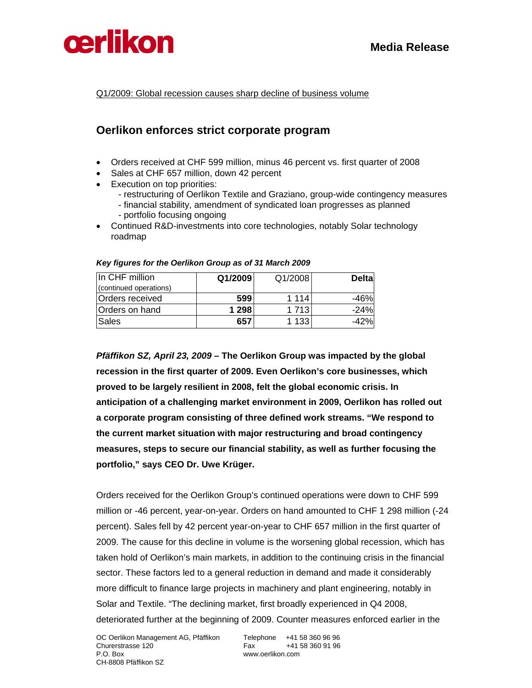



Q1/2009: Global recession causes sharp decline of business volume

### **Oerlikon enforces strict corporate program**

- Orders received at CHF 599 million, minus 46 percent vs. first quarter of 2008
- Sales at CHF 657 million, down 42 percent
- Execution on top priorities:
	- restructuring of Oerlikon Textile and Graziano, group-wide contingency measures
	- financial stability, amendment of syndicated loan progresses as planned - portfolio focusing ongoing
- Continued R&D-investments into core technologies, notably Solar technology roadmap

| In CHF million         | Q1/2009 | Q1/2008 | <b>Delta</b> |
|------------------------|---------|---------|--------------|
| (continued operations) |         |         |              |
| Orders received        | 599     | 1 1 1 4 | -46%         |
| Orders on hand         | 1 298   | 1 713   | $-24%$       |
| Sales                  | 657     | 1 133   | $-42%$       |

### *Key figures for the Oerlikon Group as of 31 March 2009*

*Pfäffikon SZ, April 23, 2009* **– The Oerlikon Group was impacted by the global recession in the first quarter of 2009. Even Oerlikon's core businesses, which proved to be largely resilient in 2008, felt the global economic crisis. In anticipation of a challenging market environment in 2009, Oerlikon has rolled out a corporate program consisting of three defined work streams. "We respond to the current market situation with major restructuring and broad contingency measures, steps to secure our financial stability, as well as further focusing the portfolio," says CEO Dr. Uwe Krüger.** 

Orders received for the Oerlikon Group's continued operations were down to CHF 599 million or -46 percent, year-on-year. Orders on hand amounted to CHF 1 298 million (-24 percent). Sales fell by 42 percent year-on-year to CHF 657 million in the first quarter of 2009. The cause for this decline in volume is the worsening global recession, which has taken hold of Oerlikon's main markets, in addition to the continuing crisis in the financial sector. These factors led to a general reduction in demand and made it considerably more difficult to finance large projects in machinery and plant engineering, notably in Solar and Textile. "The declining market, first broadly experienced in Q4 2008, deteriorated further at the beginning of 2009. Counter measures enforced earlier in the

www.oerlikon.com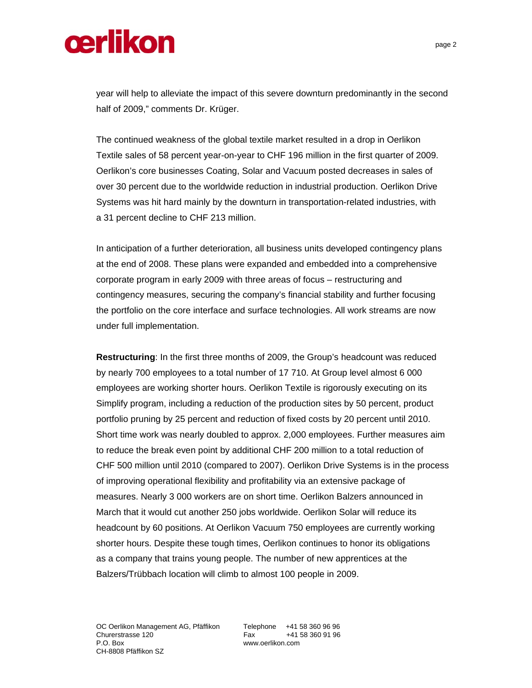year will help to alleviate the impact of this severe downturn predominantly in the second half of 2009," comments Dr. Krüger.

The continued weakness of the global textile market resulted in a drop in Oerlikon Textile sales of 58 percent year-on-year to CHF 196 million in the first quarter of 2009. Oerlikon's core businesses Coating, Solar and Vacuum posted decreases in sales of over 30 percent due to the worldwide reduction in industrial production. Oerlikon Drive Systems was hit hard mainly by the downturn in transportation-related industries, with a 31 percent decline to CHF 213 million.

In anticipation of a further deterioration, all business units developed contingency plans at the end of 2008. These plans were expanded and embedded into a comprehensive corporate program in early 2009 with three areas of focus – restructuring and contingency measures, securing the company's financial stability and further focusing the portfolio on the core interface and surface technologies. All work streams are now under full implementation.

**Restructuring**: In the first three months of 2009, the Group's headcount was reduced by nearly 700 employees to a total number of 17 710. At Group level almost 6 000 employees are working shorter hours. Oerlikon Textile is rigorously executing on its Simplify program, including a reduction of the production sites by 50 percent, product portfolio pruning by 25 percent and reduction of fixed costs by 20 percent until 2010. Short time work was nearly doubled to approx. 2,000 employees. Further measures aim to reduce the break even point by additional CHF 200 million to a total reduction of CHF 500 million until 2010 (compared to 2007). Oerlikon Drive Systems is in the process of improving operational flexibility and profitability via an extensive package of measures. Nearly 3 000 workers are on short time. Oerlikon Balzers announced in March that it would cut another 250 jobs worldwide. Oerlikon Solar will reduce its headcount by 60 positions. At Oerlikon Vacuum 750 employees are currently working shorter hours. Despite these tough times, Oerlikon continues to honor its obligations as a company that trains young people. The number of new apprentices at the Balzers/Trübbach location will climb to almost 100 people in 2009.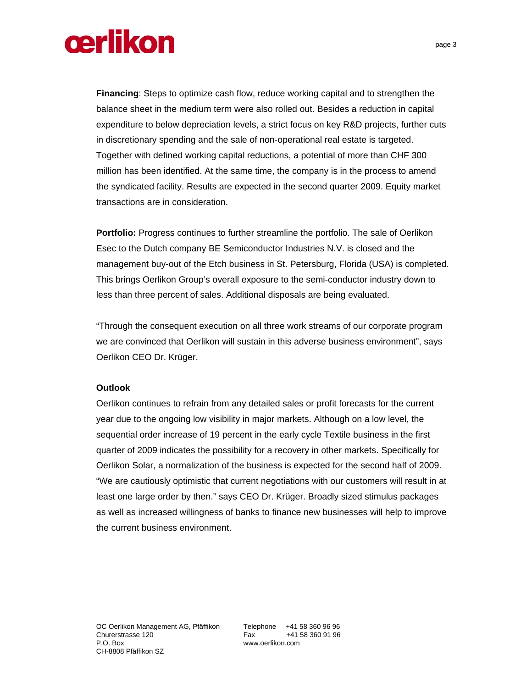**Financing**: Steps to optimize cash flow, reduce working capital and to strengthen the balance sheet in the medium term were also rolled out. Besides a reduction in capital expenditure to below depreciation levels, a strict focus on key R&D projects, further cuts in discretionary spending and the sale of non-operational real estate is targeted. Together with defined working capital reductions, a potential of more than CHF 300 million has been identified. At the same time, the company is in the process to amend the syndicated facility. Results are expected in the second quarter 2009. Equity market transactions are in consideration.

**Portfolio:** Progress continues to further streamline the portfolio. The sale of Oerlikon Esec to the Dutch company BE Semiconductor Industries N.V. is closed and the management buy-out of the Etch business in St. Petersburg, Florida (USA) is completed. This brings Oerlikon Group's overall exposure to the semi-conductor industry down to less than three percent of sales. Additional disposals are being evaluated.

"Through the consequent execution on all three work streams of our corporate program we are convinced that Oerlikon will sustain in this adverse business environment", says Oerlikon CEO Dr. Krüger.

### **Outlook**

Oerlikon continues to refrain from any detailed sales or profit forecasts for the current year due to the ongoing low visibility in major markets. Although on a low level, the sequential order increase of 19 percent in the early cycle Textile business in the first quarter of 2009 indicates the possibility for a recovery in other markets. Specifically for Oerlikon Solar, a normalization of the business is expected for the second half of 2009. "We are cautiously optimistic that current negotiations with our customers will result in at least one large order by then." says CEO Dr. Krüger. Broadly sized stimulus packages as well as increased willingness of banks to finance new businesses will help to improve the current business environment.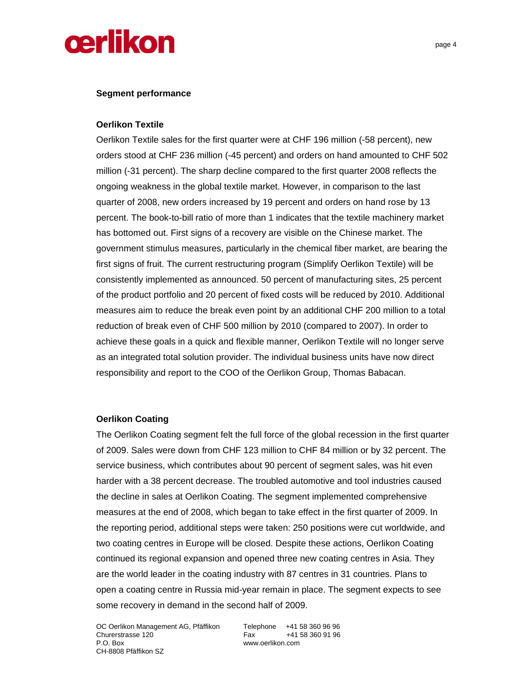### **Segment performance**

### **Oerlikon Textile**

Oerlikon Textile sales for the first quarter were at CHF 196 million (-58 percent), new orders stood at CHF 236 million (-45 percent) and orders on hand amounted to CHF 502 million (-31 percent). The sharp decline compared to the first quarter 2008 reflects the ongoing weakness in the global textile market. However, in comparison to the last quarter of 2008, new orders increased by 19 percent and orders on hand rose by 13 percent. The book-to-bill ratio of more than 1 indicates that the textile machinery market has bottomed out. First signs of a recovery are visible on the Chinese market. The government stimulus measures, particularly in the chemical fiber market, are bearing the first signs of fruit. The current restructuring program (Simplify Oerlikon Textile) will be consistently implemented as announced. 50 percent of manufacturing sites, 25 percent of the product portfolio and 20 percent of fixed costs will be reduced by 2010. Additional measures aim to reduce the break even point by an additional CHF 200 million to a total reduction of break even of CHF 500 million by 2010 (compared to 2007). In order to achieve these goals in a quick and flexible manner, Oerlikon Textile will no longer serve as an integrated total solution provider. The individual business units have now direct responsibility and report to the COO of the Oerlikon Group, Thomas Babacan.

### **Oerlikon Coating**

The Oerlikon Coating segment felt the full force of the global recession in the first quarter of 2009. Sales were down from CHF 123 million to CHF 84 million or by 32 percent. The service business, which contributes about 90 percent of segment sales, was hit even harder with a 38 percent decrease. The troubled automotive and tool industries caused the decline in sales at Oerlikon Coating. The segment implemented comprehensive measures at the end of 2008, which began to take effect in the first quarter of 2009. In the reporting period, additional steps were taken: 250 positions were cut worldwide, and two coating centres in Europe will be closed. Despite these actions, Oerlikon Coating continued its regional expansion and opened three new coating centres in Asia. They are the world leader in the coating industry with 87 centres in 31 countries. Plans to open a coating centre in Russia mid-year remain in place. The segment expects to see some recovery in demand in the second half of 2009.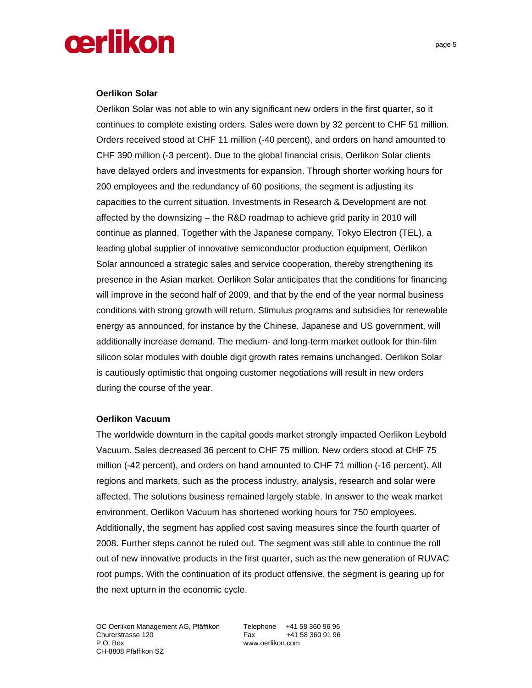### **Oerlikon Solar**

Oerlikon Solar was not able to win any significant new orders in the first quarter, so it continues to complete existing orders. Sales were down by 32 percent to CHF 51 million. Orders received stood at CHF 11 million (-40 percent), and orders on hand amounted to CHF 390 million (-3 percent). Due to the global financial crisis, Oerlikon Solar clients have delayed orders and investments for expansion. Through shorter working hours for 200 employees and the redundancy of 60 positions, the segment is adjusting its capacities to the current situation. Investments in Research & Development are not affected by the downsizing – the R&D roadmap to achieve grid parity in 2010 will continue as planned. Together with the Japanese company, Tokyo Electron (TEL), a leading global supplier of innovative semiconductor production equipment, Oerlikon Solar announced a strategic sales and service cooperation, thereby strengthening its presence in the Asian market. Oerlikon Solar anticipates that the conditions for financing will improve in the second half of 2009, and that by the end of the year normal business conditions with strong growth will return. Stimulus programs and subsidies for renewable energy as announced, for instance by the Chinese, Japanese and US government, will additionally increase demand. The medium- and long-term market outlook for thin-film silicon solar modules with double digit growth rates remains unchanged. Oerlikon Solar is cautiously optimistic that ongoing customer negotiations will result in new orders during the course of the year.

### **Oerlikon Vacuum**

The worldwide downturn in the capital goods market strongly impacted Oerlikon Leybold Vacuum. Sales decreased 36 percent to CHF 75 million. New orders stood at CHF 75 million (-42 percent), and orders on hand amounted to CHF 71 million (-16 percent). All regions and markets, such as the process industry, analysis, research and solar were affected. The solutions business remained largely stable. In answer to the weak market environment, Oerlikon Vacuum has shortened working hours for 750 employees. Additionally, the segment has applied cost saving measures since the fourth quarter of 2008. Further steps cannot be ruled out. The segment was still able to continue the roll out of new innovative products in the first quarter, such as the new generation of RUVAC root pumps. With the continuation of its product offensive, the segment is gearing up for the next upturn in the economic cycle.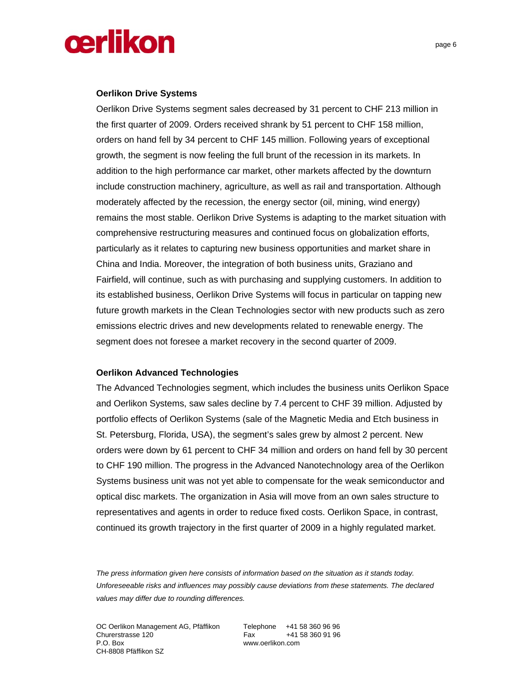### **Oerlikon Drive Systems**

Oerlikon Drive Systems segment sales decreased by 31 percent to CHF 213 million in the first quarter of 2009. Orders received shrank by 51 percent to CHF 158 million, orders on hand fell by 34 percent to CHF 145 million. Following years of exceptional growth, the segment is now feeling the full brunt of the recession in its markets. In addition to the high performance car market, other markets affected by the downturn include construction machinery, agriculture, as well as rail and transportation. Although moderately affected by the recession, the energy sector (oil, mining, wind energy) remains the most stable. Oerlikon Drive Systems is adapting to the market situation with comprehensive restructuring measures and continued focus on globalization efforts, particularly as it relates to capturing new business opportunities and market share in China and India. Moreover, the integration of both business units, Graziano and Fairfield, will continue, such as with purchasing and supplying customers. In addition to its established business, Oerlikon Drive Systems will focus in particular on tapping new future growth markets in the Clean Technologies sector with new products such as zero emissions electric drives and new developments related to renewable energy. The segment does not foresee a market recovery in the second quarter of 2009.

### **Oerlikon Advanced Technologies**

The Advanced Technologies segment, which includes the business units Oerlikon Space and Oerlikon Systems, saw sales decline by 7.4 percent to CHF 39 million. Adjusted by portfolio effects of Oerlikon Systems (sale of the Magnetic Media and Etch business in St. Petersburg, Florida, USA), the segment's sales grew by almost 2 percent. New orders were down by 61 percent to CHF 34 million and orders on hand fell by 30 percent to CHF 190 million. The progress in the Advanced Nanotechnology area of the Oerlikon Systems business unit was not yet able to compensate for the weak semiconductor and optical disc markets. The organization in Asia will move from an own sales structure to representatives and agents in order to reduce fixed costs. Oerlikon Space, in contrast, continued its growth trajectory in the first quarter of 2009 in a highly regulated market.

*The press information given here consists of information based on the situation as it stands today. Unforeseeable risks and influences may possibly cause deviations from these statements. The declared values may differ due to rounding differences.* 

OC Oerlikon Management AG, Pfäffikon Telephone +41 58 360 96 96 Churerstrasse 120 Fax +41 58 360 91 96 P.O. Box www.oerlikon.com CH-8808 Pfäffikon SZ